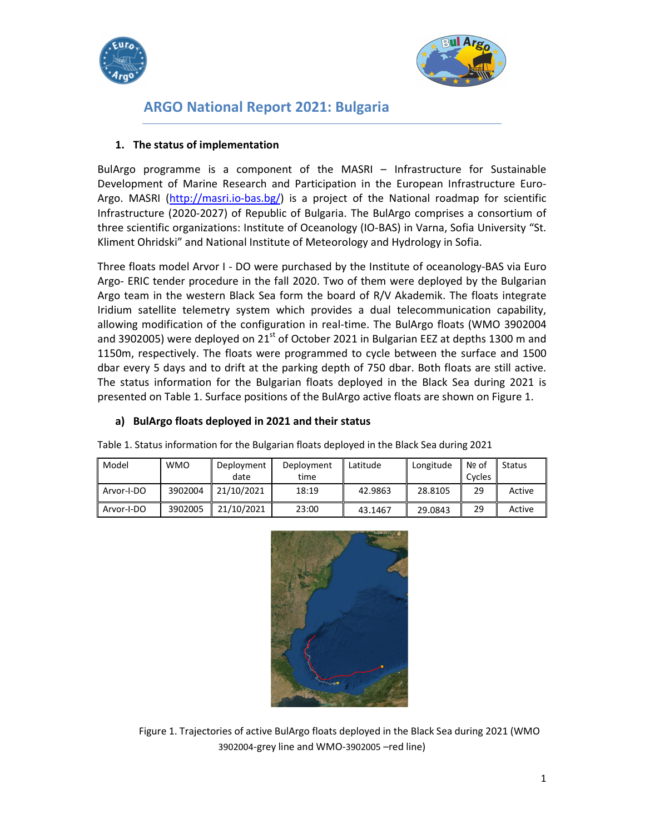



# ARGO National Report 2021: Bulgaria

#### 1. The status of implementation

BulArgo programme is a component of the MASRI – Infrastructure for Sustainable Development of Marine Research and Participation in the European Infrastructure Euro-Argo. MASRI (http://masri.io-bas.bg/) is a project of the National roadmap for scientific Infrastructure (2020-2027) of Republic of Bulgaria. The BulArgo comprises a consortium of three scientific organizations: Institute of Oceanology (IO-BAS) in Varna, Sofia University "St. Kliment Ohridski" and National Institute of Meteorology and Hydrology in Sofia.

Three floats model Arvor I - DO were purchased by the Institute of oceanology-BAS via Euro Argo- ERIC tender procedure in the fall 2020. Two of them were deployed by the Bulgarian Argo team in the western Black Sea form the board of R/V Akademik. The floats integrate Iridium satellite telemetry system which provides a dual telecommunication capability, allowing modification of the configuration in real-time. The BulArgo floats (WMO 3902004 and 3902005) were deployed on  $21<sup>st</sup>$  of October 2021 in Bulgarian EEZ at depths 1300 m and 1150m, respectively. The floats were programmed to cycle between the surface and 1500 dbar every 5 days and to drift at the parking depth of 750 dbar. Both floats are still active. The status information for the Bulgarian floats deployed in the Black Sea during 2021 is presented on Table 1. Surface positions of the BulArgo active floats are shown on Figure 1.

#### a) BulArgo floats deployed in 2021 and their status

| Model      | <b>WMO</b> | Deployment<br>date | Deployment<br>time | Latitude | Longitude | $\mathsf{N}$ $\mathsf{Q}$ of<br>Cycles | Status |
|------------|------------|--------------------|--------------------|----------|-----------|----------------------------------------|--------|
| Arvor-I-DO | 3902004    | 21/10/2021         | 18:19              | 42.9863  | 28.8105   | 29                                     | Active |
| Arvor-I-DO | 3902005    | 21/10/2021         | 23:00              | 43.1467  | 29.0843   | 29                                     | Active |

Table 1. Status information for the Bulgarian floats deployed in the Black Sea during 2021



Figure 1. Trajectories of active BulArgo floats deployed in the Black Sea during 2021 (WMO 3902004-grey line and WMO-3902005 –red line)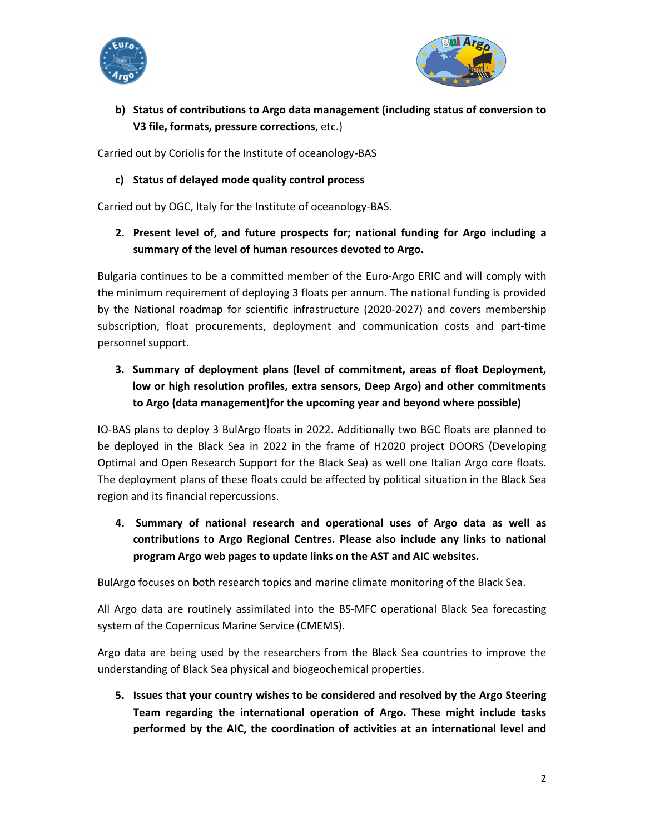



### b) Status of contributions to Argo data management (including status of conversion to V3 file, formats, pressure corrections, etc.)

Carried out by Coriolis for the Institute of oceanology-BAS

### c) Status of delayed mode quality control process

Carried out by OGC, Italy for the Institute of oceanology-BAS.

### 2. Present level of, and future prospects for; national funding for Argo including a summary of the level of human resources devoted to Argo.

Bulgaria continues to be a committed member of the Euro-Argo ERIC and will comply with the minimum requirement of deploying 3 floats per annum. The national funding is provided by the National roadmap for scientific infrastructure (2020-2027) and covers membership subscription, float procurements, deployment and communication costs and part-time personnel support.

## 3. Summary of deployment plans (level of commitment, areas of float Deployment, low or high resolution profiles, extra sensors, Deep Argo) and other commitments to Argo (data management)for the upcoming year and beyond where possible)

IO-BAS plans to deploy 3 BulArgo floats in 2022. Additionally two BGC floats are planned to be deployed in the Black Sea in 2022 in the frame of H2020 project DOORS (Developing Optimal and Open Research Support for the Black Sea) as well one Italian Argo core floats. The deployment plans of these floats could be affected by political situation in the Black Sea region and its financial repercussions.

4. Summary of national research and operational uses of Argo data as well as contributions to Argo Regional Centres. Please also include any links to national program Argo web pages to update links on the AST and AIC websites.

BulArgo focuses on both research topics and marine climate monitoring of the Black Sea.

All Argo data are routinely assimilated into the BS-MFC operational Black Sea forecasting system of the Copernicus Marine Service (CMEMS).

Argo data are being used by the researchers from the Black Sea countries to improve the understanding of Black Sea physical and biogeochemical properties.

5. Issues that your country wishes to be considered and resolved by the Argo Steering Team regarding the international operation of Argo. These might include tasks performed by the AIC, the coordination of activities at an international level and